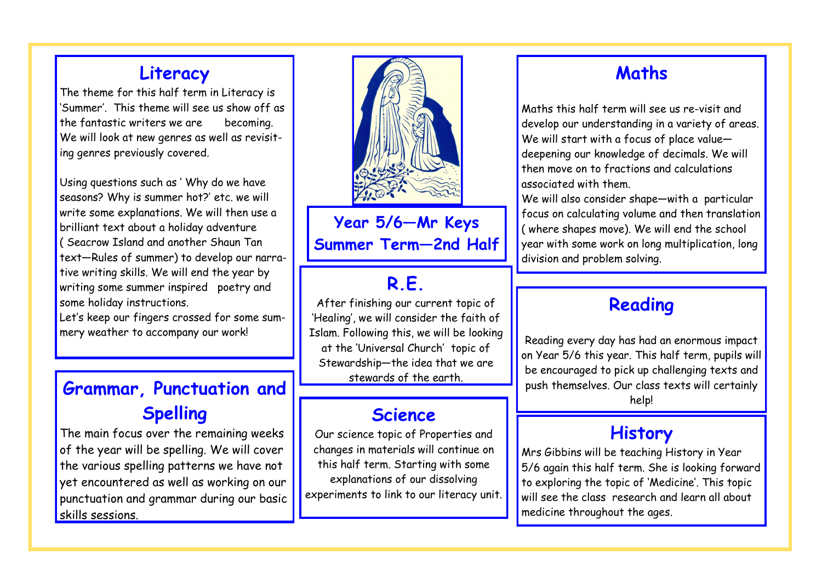#### **Literacy**

The theme for this half term in Literacy is 'Summer'. This theme will see us show off as the fantastic writers we are becoming. We will look at new genres as well as revisiting genres previously covered.

Using questions such as ' Why do we have seasons? Why is summer hot?' etc. we will write some explanations. We will then use a brilliant text about a holiday adventure ( Seacrow Island and another Shaun Tan text—Rules of summer) to develop our narrative writing skills. We will end the year by writing some summer inspired poetry and some holiday instructions.

Let's keep our fingers crossed for some summery weather to accompany our work!

## **Grammar, Punctuation and Spelling**

The main focus over the remaining weeks of the year will be spelling. We will cover the various spelling patterns we have not yet encountered as well as working on our punctuation and grammar during our basic skills sessions.



**Year 5/6—Mr Keys Summer Term—2nd Half**

## **R.E.**

After finishing our current topic of 'Healing', we will consider the faith of Islam. Following this, we will be looking at the 'Universal Church' topic of Stewardship—the idea that we are stewards of the earth.

#### **Science**

Our science topic of Properties and changes in materials will continue on this half term. Starting with some explanations of our dissolving experiments to link to our literacy unit.

#### **Maths**

Maths this half term will see us re-visit and develop our understanding in a variety of areas. We will start with a focus of place value deepening our knowledge of decimals. We will then move on to fractions and calculations associated with them.

We will also consider shape—with a particular focus on calculating volume and then translation ( where shapes move). We will end the school year with some work on long multiplication, long division and problem solving.

#### **Reading**

Reading every day has had an enormous impact on Year 5/6 this year. This half term, pupils will be encouraged to pick up challenging texts and push themselves. Our class texts will certainly help!

#### **History**

Mrs Gibbins will be teaching History in Year 5/6 again this half term. She is looking forward to exploring the topic of 'Medicine'. This topic will see the class research and learn all about medicine throughout the ages.